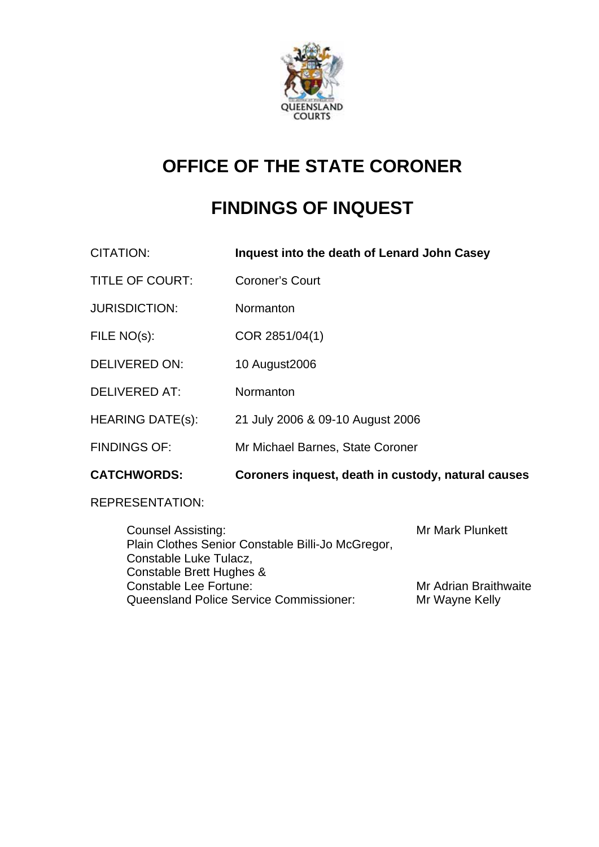

# **OFFICE OF THE STATE CORONER**

# **FINDINGS OF INQUEST**

CITATION: **Inquest into the death of Lenard John Casey** 

- TITLE OF COURT: Coroner's Court
- JURISDICTION: Normanton
- FILE NO(s): COR 2851/04(1)
- DELIVERED ON: 10 August2006
- DELIVERED AT: Normanton
- HEARING DATE(s): 21 July 2006 & 09-10 August 2006
- FINDINGS OF: Mr Michael Barnes, State Coroner
- **CATCHWORDS: Coroners inquest, death in custody, natural causes**

#### REPRESENTATION:

Counsel Assisting: Mr Mark Plunkett Plain Clothes Senior Constable Billi-Jo McGregor, Constable Luke Tulacz, Constable Brett Hughes & Constable Lee Fortune: Mr Adrian Braithwaite Queensland Police Service Commissioner: Mr Wayne Kelly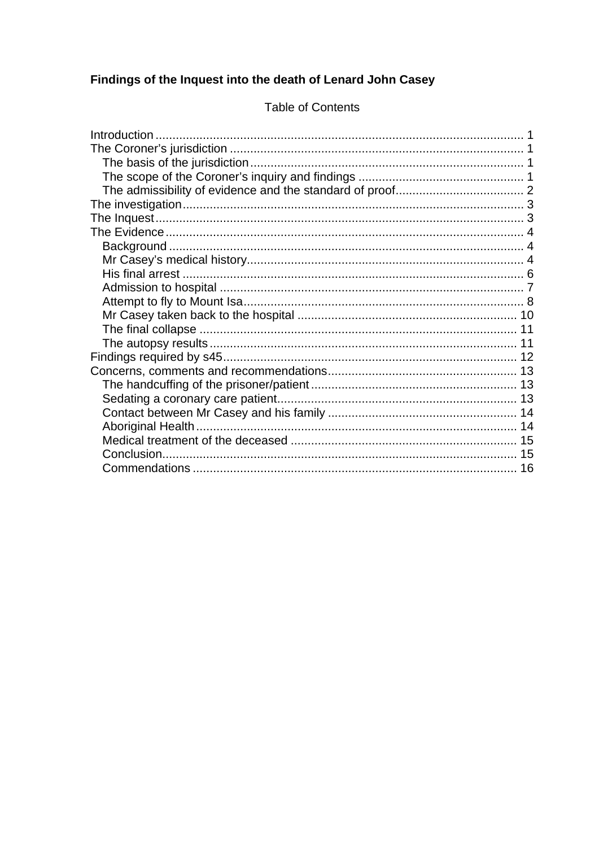## Findings of the Inquest into the death of Lenard John Casey

## **Table of Contents**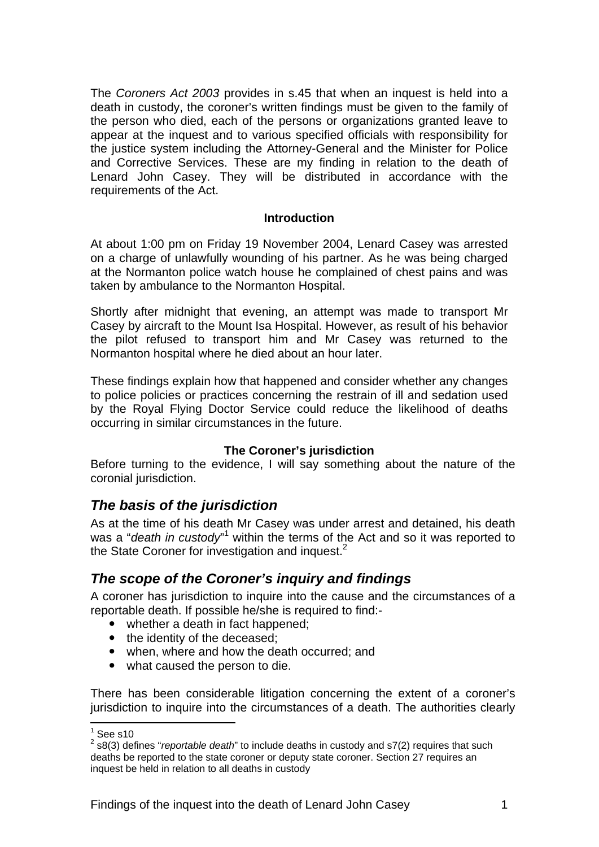The *Coroners Act 2003* provides in s.45 that when an inquest is held into a death in custody, the coroner's written findings must be given to the family of the person who died, each of the persons or organizations granted leave to appear at the inquest and to various specified officials with responsibility for the justice system including the Attorney-General and the Minister for Police and Corrective Services. These are my finding in relation to the death of Lenard John Casey. They will be distributed in accordance with the requirements of the Act.

#### **Introduction**

At about 1:00 pm on Friday 19 November 2004, Lenard Casey was arrested on a charge of unlawfully wounding of his partner. As he was being charged at the Normanton police watch house he complained of chest pains and was taken by ambulance to the Normanton Hospital.

Shortly after midnight that evening, an attempt was made to transport Mr Casey by aircraft to the Mount Isa Hospital. However, as result of his behavior the pilot refused to transport him and Mr Casey was returned to the Normanton hospital where he died about an hour later.

These findings explain how that happened and consider whether any changes to police policies or practices concerning the restrain of ill and sedation used by the Royal Flying Doctor Service could reduce the likelihood of deaths occurring in similar circumstances in the future.

#### **The Coroner's jurisdiction**

Before turning to the evidence, I will say something about the nature of the coronial jurisdiction.

## *The basis of the jurisdiction*

As at the time of his death Mr Casey was under arrest and detained, his death was a "*death in custody*" within the terms of the Act and so it was reported to the State Coroner for investigation and inquest. $2$ 

#### *The scope of the Coroner's inquiry and findings*

A coroner has jurisdiction to inquire into the cause and the circumstances of a reportable death. If possible he/she is required to find:-

- whether a death in fact happened;
- the identity of the deceased:
- when, where and how the death occurred; and
- what caused the person to die.

There has been considerable litigation concerning the extent of a coroner's jurisdiction to inquire into the circumstances of a death. The authorities clearly

 $\frac{1}{1}$ See s10

<sup>2</sup> s8(3) defines "*reportable death*" to include deaths in custody and s7(2) requires that such deaths be reported to the state coroner or deputy state coroner. Section 27 requires an inquest be held in relation to all deaths in custody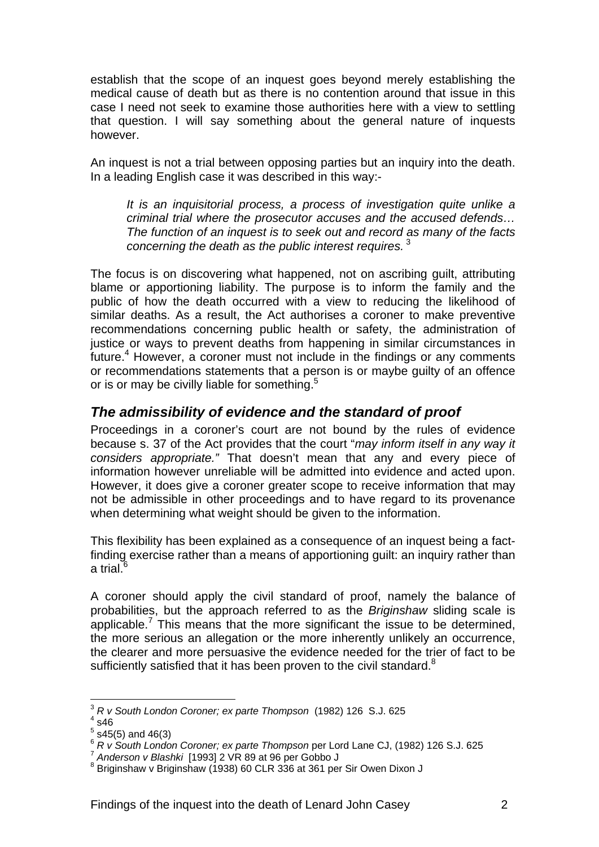establish that the scope of an inquest goes beyond merely establishing the medical cause of death but as there is no contention around that issue in this case I need not seek to examine those authorities here with a view to settling that question. I will say something about the general nature of inquests however.

An inquest is not a trial between opposing parties but an inquiry into the death. In a leading English case it was described in this way:-

*It is an inquisitorial process, a process of investigation quite unlike a criminal trial where the prosecutor accuses and the accused defends… The function of an inquest is to seek out and record as many of the facts concerning the death as the public interest requires.*<sup>3</sup>

The focus is on discovering what happened, not on ascribing guilt, attributing blame or apportioning liability. The purpose is to inform the family and the public of how the death occurred with a view to reducing the likelihood of similar deaths. As a result, the Act authorises a coroner to make preventive recommendations concerning public health or safety, the administration of justice or ways to prevent deaths from happening in similar circumstances in future. $4$  However, a coroner must not include in the findings or any comments or recommendations statements that a person is or maybe guilty of an offence or is or may be civilly liable for something.<sup>5</sup>

#### *The admissibility of evidence and the standard of proof*

Proceedings in a coroner's court are not bound by the rules of evidence because s. 37 of the Act provides that the court "*may inform itself in any way it considers appropriate."* That doesn't mean that any and every piece of information however unreliable will be admitted into evidence and acted upon. However, it does give a coroner greater scope to receive information that may not be admissible in other proceedings and to have regard to its provenance when determining what weight should be given to the information.

This flexibility has been explained as a consequence of an inquest being a factfinding exercise rather than a means of apportioning guilt: an inquiry rather than a trial. $^6$ 

A coroner should apply the civil standard of proof, namely the balance of probabilities, but the approach referred to as the *Briginshaw* sliding scale is applicable.<sup>7</sup> This means that the more significant the issue to be determined, the more serious an allegation or the more inherently unlikely an occurrence, the clearer and more persuasive the evidence needed for the trier of fact to be sufficiently satisfied that it has been proven to the civil standard. $8$ 

1

<sup>3</sup> *R v South London Coroner; ex parte Thompson* (1982) 126 S.J. 625 4

 $4$  s46

 $5$  s45(5) and 46(3)

<sup>6</sup> *R v South London Coroner; ex parte Thompson* per Lord Lane CJ, (1982) 126 S.J. 625 7 *Anderson v Blashki* [1993] 2 VR 89 at 96 per Gobbo J 8

 $8$  Briginshaw v Briginshaw (1938) 60 CLR 336 at 361 per Sir Owen Dixon J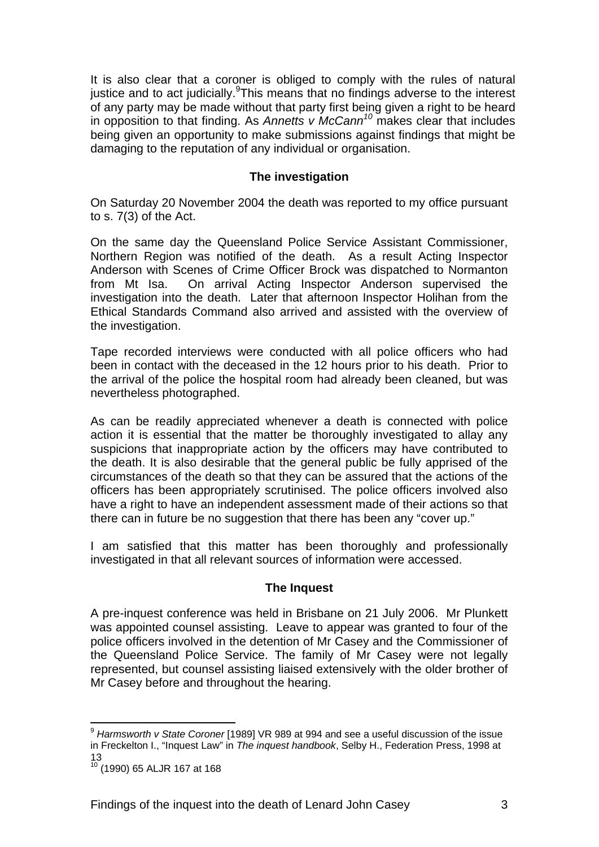It is also clear that a coroner is obliged to comply with the rules of natural justice and to act judicially. This means that no findings adverse to the interest of any party may be made without that party first being given a right to be heard in opposition to that finding. As *Annetts v McCann<sup>10</sup>* makes clear that includes being given an opportunity to make submissions against findings that might be damaging to the reputation of any individual or organisation.

#### **The investigation**

On Saturday 20 November 2004 the death was reported to my office pursuant to s. 7(3) of the Act.

On the same day the Queensland Police Service Assistant Commissioner, Northern Region was notified of the death. As a result Acting Inspector Anderson with Scenes of Crime Officer Brock was dispatched to Normanton from Mt Isa. On arrival Acting Inspector Anderson supervised the investigation into the death. Later that afternoon Inspector Holihan from the Ethical Standards Command also arrived and assisted with the overview of the investigation.

Tape recorded interviews were conducted with all police officers who had been in contact with the deceased in the 12 hours prior to his death. Prior to the arrival of the police the hospital room had already been cleaned, but was nevertheless photographed.

As can be readily appreciated whenever a death is connected with police action it is essential that the matter be thoroughly investigated to allay any suspicions that inappropriate action by the officers may have contributed to the death. It is also desirable that the general public be fully apprised of the circumstances of the death so that they can be assured that the actions of the officers has been appropriately scrutinised. The police officers involved also have a right to have an independent assessment made of their actions so that there can in future be no suggestion that there has been any "cover up."

I am satisfied that this matter has been thoroughly and professionally investigated in that all relevant sources of information were accessed.

#### **The Inquest**

A pre-inquest conference was held in Brisbane on 21 July 2006. Mr Plunkett was appointed counsel assisting. Leave to appear was granted to four of the police officers involved in the detention of Mr Casey and the Commissioner of the Queensland Police Service. The family of Mr Casey were not legally represented, but counsel assisting liaised extensively with the older brother of Mr Casey before and throughout the hearing.

1

<sup>9</sup> *Harmsworth v State Coroner* [1989] VR 989 at 994 and see a useful discussion of the issue in Freckelton I., "Inquest Law" in *The inquest handbook*, Selby H., Federation Press, 1998 at 13

<sup>10 (1990) 65</sup> ALJR 167 at 168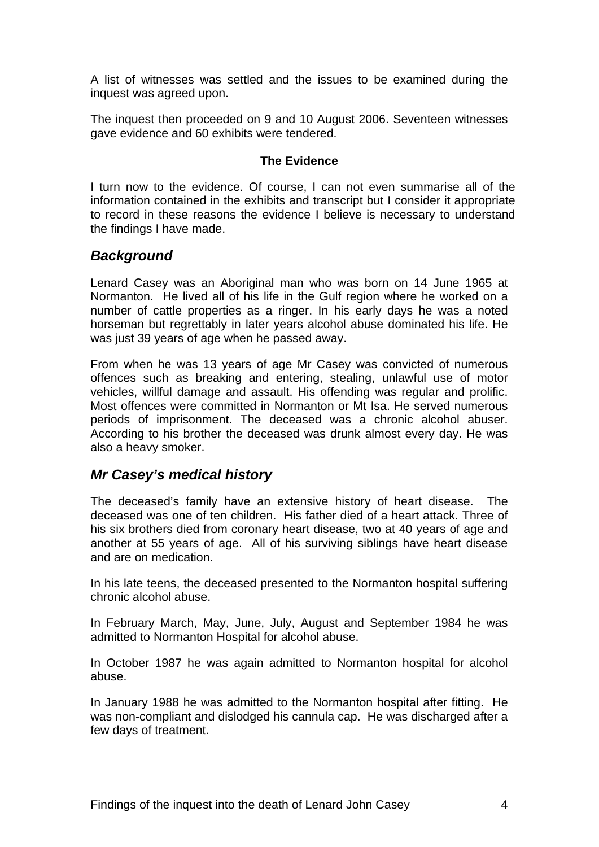A list of witnesses was settled and the issues to be examined during the inquest was agreed upon.

The inquest then proceeded on 9 and 10 August 2006. Seventeen witnesses gave evidence and 60 exhibits were tendered.

#### **The Evidence**

I turn now to the evidence. Of course, I can not even summarise all of the information contained in the exhibits and transcript but I consider it appropriate to record in these reasons the evidence I believe is necessary to understand the findings I have made.

#### *Background*

Lenard Casey was an Aboriginal man who was born on 14 June 1965 at Normanton. He lived all of his life in the Gulf region where he worked on a number of cattle properties as a ringer. In his early days he was a noted horseman but regrettably in later years alcohol abuse dominated his life. He was just 39 years of age when he passed away.

From when he was 13 years of age Mr Casey was convicted of numerous offences such as breaking and entering, stealing, unlawful use of motor vehicles, willful damage and assault. His offending was regular and prolific. Most offences were committed in Normanton or Mt Isa. He served numerous periods of imprisonment. The deceased was a chronic alcohol abuser. According to his brother the deceased was drunk almost every day. He was also a heavy smoker.

#### *Mr Casey's medical history*

The deceased's family have an extensive history of heart disease. The deceased was one of ten children. His father died of a heart attack. Three of his six brothers died from coronary heart disease, two at 40 years of age and another at 55 years of age. All of his surviving siblings have heart disease and are on medication.

In his late teens, the deceased presented to the Normanton hospital suffering chronic alcohol abuse.

In February March, May, June, July, August and September 1984 he was admitted to Normanton Hospital for alcohol abuse.

In October 1987 he was again admitted to Normanton hospital for alcohol abuse.

In January 1988 he was admitted to the Normanton hospital after fitting. He was non-compliant and dislodged his cannula cap. He was discharged after a few days of treatment.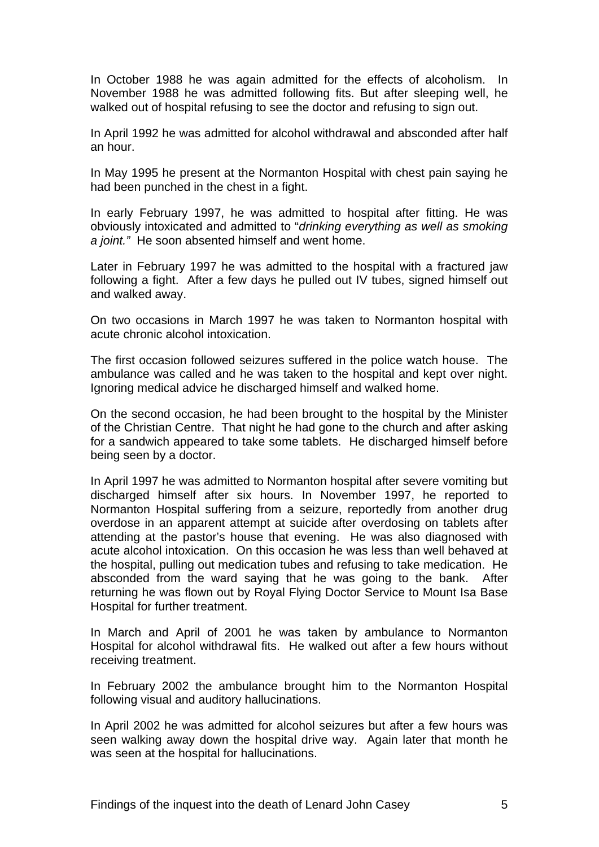In October 1988 he was again admitted for the effects of alcoholism. In November 1988 he was admitted following fits. But after sleeping well, he walked out of hospital refusing to see the doctor and refusing to sign out.

In April 1992 he was admitted for alcohol withdrawal and absconded after half an hour.

In May 1995 he present at the Normanton Hospital with chest pain saying he had been punched in the chest in a fight.

In early February 1997, he was admitted to hospital after fitting. He was obviously intoxicated and admitted to "*drinking everything as well as smoking a joint."* He soon absented himself and went home.

Later in February 1997 he was admitted to the hospital with a fractured jaw following a fight. After a few days he pulled out IV tubes, signed himself out and walked away.

On two occasions in March 1997 he was taken to Normanton hospital with acute chronic alcohol intoxication.

The first occasion followed seizures suffered in the police watch house. The ambulance was called and he was taken to the hospital and kept over night. Ignoring medical advice he discharged himself and walked home.

On the second occasion, he had been brought to the hospital by the Minister of the Christian Centre. That night he had gone to the church and after asking for a sandwich appeared to take some tablets. He discharged himself before being seen by a doctor.

In April 1997 he was admitted to Normanton hospital after severe vomiting but discharged himself after six hours. In November 1997, he reported to Normanton Hospital suffering from a seizure, reportedly from another drug overdose in an apparent attempt at suicide after overdosing on tablets after attending at the pastor's house that evening. He was also diagnosed with acute alcohol intoxication. On this occasion he was less than well behaved at the hospital, pulling out medication tubes and refusing to take medication. He absconded from the ward saying that he was going to the bank. After returning he was flown out by Royal Flying Doctor Service to Mount Isa Base Hospital for further treatment.

In March and April of 2001 he was taken by ambulance to Normanton Hospital for alcohol withdrawal fits. He walked out after a few hours without receiving treatment.

In February 2002 the ambulance brought him to the Normanton Hospital following visual and auditory hallucinations.

In April 2002 he was admitted for alcohol seizures but after a few hours was seen walking away down the hospital drive way. Again later that month he was seen at the hospital for hallucinations.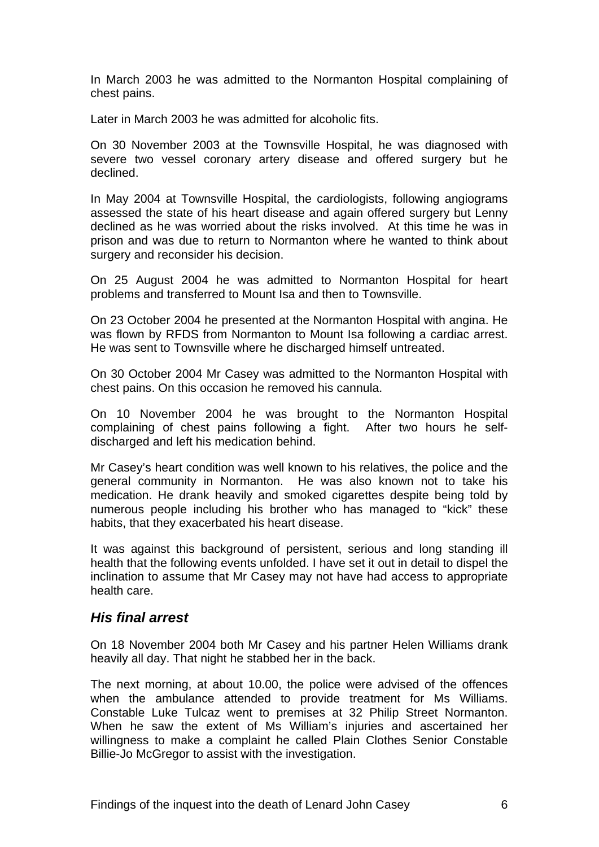In March 2003 he was admitted to the Normanton Hospital complaining of chest pains.

Later in March 2003 he was admitted for alcoholic fits.

On 30 November 2003 at the Townsville Hospital, he was diagnosed with severe two vessel coronary artery disease and offered surgery but he declined.

In May 2004 at Townsville Hospital, the cardiologists, following angiograms assessed the state of his heart disease and again offered surgery but Lenny declined as he was worried about the risks involved. At this time he was in prison and was due to return to Normanton where he wanted to think about surgery and reconsider his decision.

On 25 August 2004 he was admitted to Normanton Hospital for heart problems and transferred to Mount Isa and then to Townsville.

On 23 October 2004 he presented at the Normanton Hospital with angina. He was flown by RFDS from Normanton to Mount Isa following a cardiac arrest. He was sent to Townsville where he discharged himself untreated.

On 30 October 2004 Mr Casey was admitted to the Normanton Hospital with chest pains. On this occasion he removed his cannula.

On 10 November 2004 he was brought to the Normanton Hospital complaining of chest pains following a fight. After two hours he selfdischarged and left his medication behind.

Mr Casey's heart condition was well known to his relatives, the police and the general community in Normanton. He was also known not to take his medication. He drank heavily and smoked cigarettes despite being told by numerous people including his brother who has managed to "kick" these habits, that they exacerbated his heart disease.

It was against this background of persistent, serious and long standing ill health that the following events unfolded. I have set it out in detail to dispel the inclination to assume that Mr Casey may not have had access to appropriate health care.

#### *His final arrest*

On 18 November 2004 both Mr Casey and his partner Helen Williams drank heavily all day. That night he stabbed her in the back.

The next morning, at about 10.00, the police were advised of the offences when the ambulance attended to provide treatment for Ms Williams. Constable Luke Tulcaz went to premises at 32 Philip Street Normanton. When he saw the extent of Ms William's injuries and ascertained her willingness to make a complaint he called Plain Clothes Senior Constable Billie-Jo McGregor to assist with the investigation.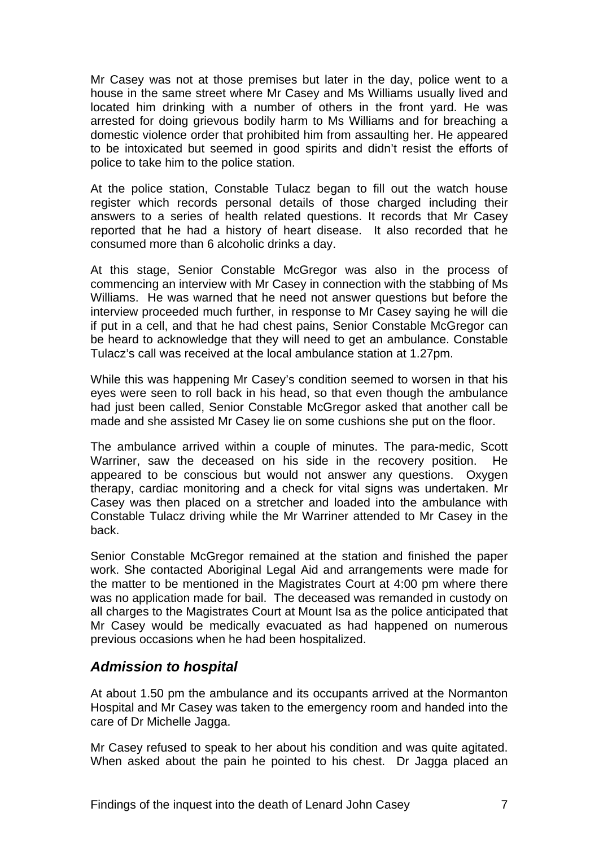Mr Casey was not at those premises but later in the day, police went to a house in the same street where Mr Casey and Ms Williams usually lived and located him drinking with a number of others in the front yard. He was arrested for doing grievous bodily harm to Ms Williams and for breaching a domestic violence order that prohibited him from assaulting her. He appeared to be intoxicated but seemed in good spirits and didn't resist the efforts of police to take him to the police station.

At the police station, Constable Tulacz began to fill out the watch house register which records personal details of those charged including their answers to a series of health related questions. It records that Mr Casey reported that he had a history of heart disease. It also recorded that he consumed more than 6 alcoholic drinks a day.

At this stage, Senior Constable McGregor was also in the process of commencing an interview with Mr Casey in connection with the stabbing of Ms Williams. He was warned that he need not answer questions but before the interview proceeded much further, in response to Mr Casey saying he will die if put in a cell, and that he had chest pains, Senior Constable McGregor can be heard to acknowledge that they will need to get an ambulance. Constable Tulacz's call was received at the local ambulance station at 1.27pm.

While this was happening Mr Casey's condition seemed to worsen in that his eyes were seen to roll back in his head, so that even though the ambulance had just been called, Senior Constable McGregor asked that another call be made and she assisted Mr Casey lie on some cushions she put on the floor.

The ambulance arrived within a couple of minutes. The para-medic, Scott Warriner, saw the deceased on his side in the recovery position. He appeared to be conscious but would not answer any questions. Oxygen therapy, cardiac monitoring and a check for vital signs was undertaken. Mr Casey was then placed on a stretcher and loaded into the ambulance with Constable Tulacz driving while the Mr Warriner attended to Mr Casey in the back.

Senior Constable McGregor remained at the station and finished the paper work. She contacted Aboriginal Legal Aid and arrangements were made for the matter to be mentioned in the Magistrates Court at 4:00 pm where there was no application made for bail. The deceased was remanded in custody on all charges to the Magistrates Court at Mount Isa as the police anticipated that Mr Casey would be medically evacuated as had happened on numerous previous occasions when he had been hospitalized.

#### *Admission to hospital*

At about 1.50 pm the ambulance and its occupants arrived at the Normanton Hospital and Mr Casey was taken to the emergency room and handed into the care of Dr Michelle Jagga.

Mr Casey refused to speak to her about his condition and was quite agitated. When asked about the pain he pointed to his chest. Dr Jagga placed an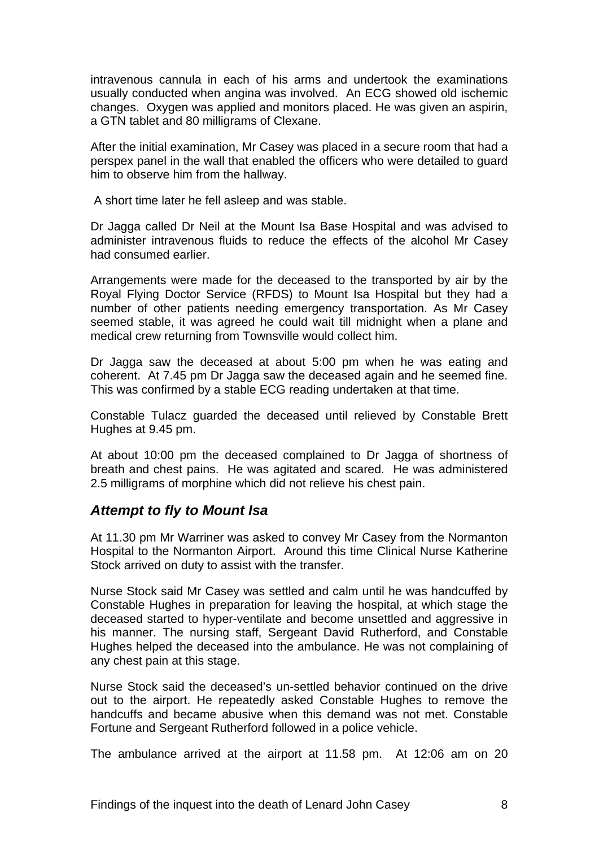intravenous cannula in each of his arms and undertook the examinations usually conducted when angina was involved. An ECG showed old ischemic changes. Oxygen was applied and monitors placed. He was given an aspirin, a GTN tablet and 80 milligrams of Clexane.

After the initial examination, Mr Casey was placed in a secure room that had a perspex panel in the wall that enabled the officers who were detailed to guard him to observe him from the hallway.

A short time later he fell asleep and was stable.

Dr Jagga called Dr Neil at the Mount Isa Base Hospital and was advised to administer intravenous fluids to reduce the effects of the alcohol Mr Casey had consumed earlier.

Arrangements were made for the deceased to the transported by air by the Royal Flying Doctor Service (RFDS) to Mount Isa Hospital but they had a number of other patients needing emergency transportation. As Mr Casey seemed stable, it was agreed he could wait till midnight when a plane and medical crew returning from Townsville would collect him.

Dr Jagga saw the deceased at about 5:00 pm when he was eating and coherent. At 7.45 pm Dr Jagga saw the deceased again and he seemed fine. This was confirmed by a stable ECG reading undertaken at that time.

Constable Tulacz guarded the deceased until relieved by Constable Brett Hughes at 9.45 pm.

At about 10:00 pm the deceased complained to Dr Jagga of shortness of breath and chest pains. He was agitated and scared. He was administered 2.5 milligrams of morphine which did not relieve his chest pain.

#### *Attempt to fly to Mount Isa*

At 11.30 pm Mr Warriner was asked to convey Mr Casey from the Normanton Hospital to the Normanton Airport. Around this time Clinical Nurse Katherine Stock arrived on duty to assist with the transfer.

Nurse Stock said Mr Casey was settled and calm until he was handcuffed by Constable Hughes in preparation for leaving the hospital, at which stage the deceased started to hyper-ventilate and become unsettled and aggressive in his manner. The nursing staff, Sergeant David Rutherford, and Constable Hughes helped the deceased into the ambulance. He was not complaining of any chest pain at this stage.

Nurse Stock said the deceased's un-settled behavior continued on the drive out to the airport. He repeatedly asked Constable Hughes to remove the handcuffs and became abusive when this demand was not met. Constable Fortune and Sergeant Rutherford followed in a police vehicle.

The ambulance arrived at the airport at 11.58 pm. At 12:06 am on 20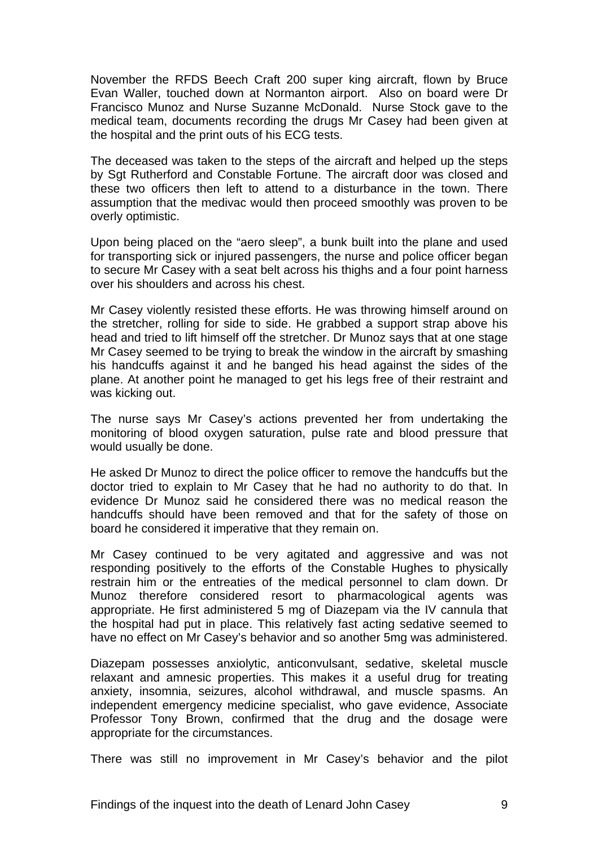November the RFDS Beech Craft 200 super king aircraft, flown by Bruce Evan Waller, touched down at Normanton airport. Also on board were Dr Francisco Munoz and Nurse Suzanne McDonald. Nurse Stock gave to the medical team, documents recording the drugs Mr Casey had been given at the hospital and the print outs of his ECG tests.

The deceased was taken to the steps of the aircraft and helped up the steps by Sgt Rutherford and Constable Fortune. The aircraft door was closed and these two officers then left to attend to a disturbance in the town. There assumption that the medivac would then proceed smoothly was proven to be overly optimistic.

Upon being placed on the "aero sleep", a bunk built into the plane and used for transporting sick or injured passengers, the nurse and police officer began to secure Mr Casey with a seat belt across his thighs and a four point harness over his shoulders and across his chest.

Mr Casey violently resisted these efforts. He was throwing himself around on the stretcher, rolling for side to side. He grabbed a support strap above his head and tried to lift himself off the stretcher. Dr Munoz says that at one stage Mr Casey seemed to be trying to break the window in the aircraft by smashing his handcuffs against it and he banged his head against the sides of the plane. At another point he managed to get his legs free of their restraint and was kicking out.

The nurse says Mr Casey's actions prevented her from undertaking the monitoring of blood oxygen saturation, pulse rate and blood pressure that would usually be done.

He asked Dr Munoz to direct the police officer to remove the handcuffs but the doctor tried to explain to Mr Casey that he had no authority to do that. In evidence Dr Munoz said he considered there was no medical reason the handcuffs should have been removed and that for the safety of those on board he considered it imperative that they remain on.

Mr Casey continued to be very agitated and aggressive and was not responding positively to the efforts of the Constable Hughes to physically restrain him or the entreaties of the medical personnel to clam down. Dr Munoz therefore considered resort to pharmacological agents was appropriate. He first administered 5 mg of Diazepam via the IV cannula that the hospital had put in place. This relatively fast acting sedative seemed to have no effect on Mr Casey's behavior and so another 5mg was administered.

Diazepam possesses anxiolytic, anticonvulsant, sedative, skeletal muscle relaxant and amnesic properties. This makes it a useful drug for treating anxiety, insomnia, seizures, alcohol withdrawal, and muscle spasms. An independent emergency medicine specialist, who gave evidence, Associate Professor Tony Brown, confirmed that the drug and the dosage were appropriate for the circumstances.

There was still no improvement in Mr Casey's behavior and the pilot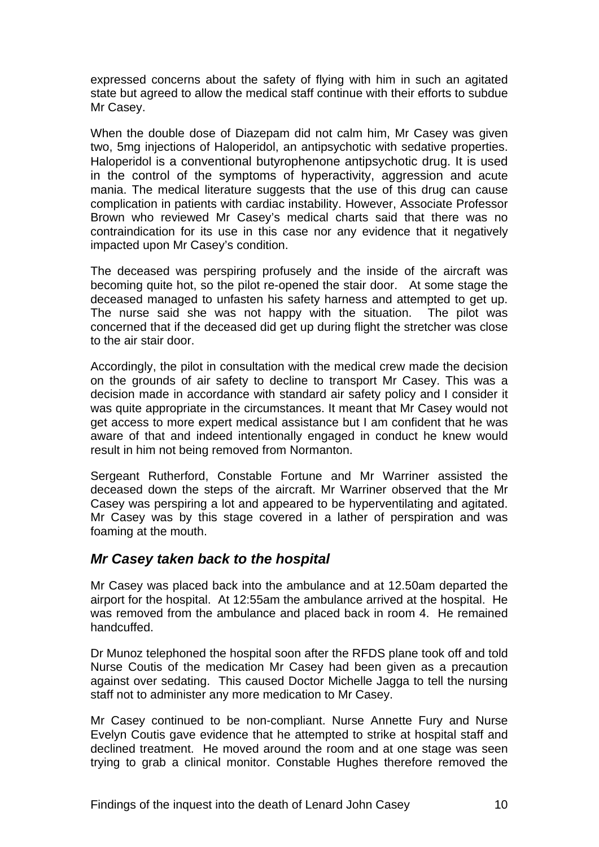expressed concerns about the safety of flying with him in such an agitated state but agreed to allow the medical staff continue with their efforts to subdue Mr Casey.

When the double dose of Diazepam did not calm him, Mr Casey was given two, 5mg injections of Haloperidol, an antipsychotic with sedative properties. Haloperidol is a conventional butyrophenone antipsychotic drug. It is used in the control of the symptoms of hyperactivity, aggression and acute mania. The medical literature suggests that the use of this drug can cause complication in patients with cardiac instability. However, Associate Professor Brown who reviewed Mr Casey's medical charts said that there was no contraindication for its use in this case nor any evidence that it negatively impacted upon Mr Casey's condition.

The deceased was perspiring profusely and the inside of the aircraft was becoming quite hot, so the pilot re-opened the stair door. At some stage the deceased managed to unfasten his safety harness and attempted to get up. The nurse said she was not happy with the situation. The pilot was concerned that if the deceased did get up during flight the stretcher was close to the air stair door.

Accordingly, the pilot in consultation with the medical crew made the decision on the grounds of air safety to decline to transport Mr Casey. This was a decision made in accordance with standard air safety policy and I consider it was quite appropriate in the circumstances. It meant that Mr Casey would not get access to more expert medical assistance but I am confident that he was aware of that and indeed intentionally engaged in conduct he knew would result in him not being removed from Normanton.

Sergeant Rutherford, Constable Fortune and Mr Warriner assisted the deceased down the steps of the aircraft. Mr Warriner observed that the Mr Casey was perspiring a lot and appeared to be hyperventilating and agitated. Mr Casey was by this stage covered in a lather of perspiration and was foaming at the mouth.

#### *Mr Casey taken back to the hospital*

Mr Casey was placed back into the ambulance and at 12.50am departed the airport for the hospital. At 12:55am the ambulance arrived at the hospital. He was removed from the ambulance and placed back in room 4. He remained handcuffed.

Dr Munoz telephoned the hospital soon after the RFDS plane took off and told Nurse Coutis of the medication Mr Casey had been given as a precaution against over sedating. This caused Doctor Michelle Jagga to tell the nursing staff not to administer any more medication to Mr Casey.

Mr Casey continued to be non-compliant. Nurse Annette Fury and Nurse Evelyn Coutis gave evidence that he attempted to strike at hospital staff and declined treatment. He moved around the room and at one stage was seen trying to grab a clinical monitor. Constable Hughes therefore removed the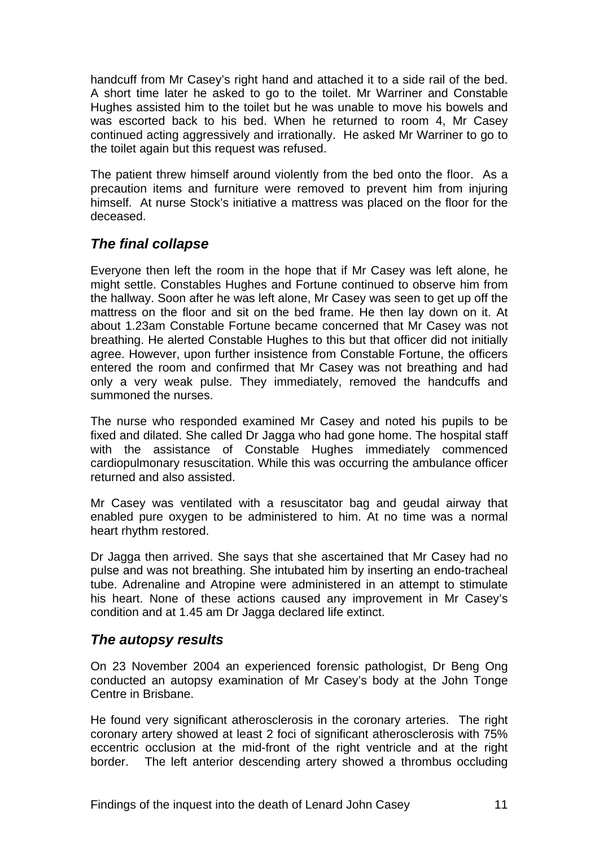handcuff from Mr Casey's right hand and attached it to a side rail of the bed. A short time later he asked to go to the toilet. Mr Warriner and Constable Hughes assisted him to the toilet but he was unable to move his bowels and was escorted back to his bed. When he returned to room 4, Mr Casey continued acting aggressively and irrationally. He asked Mr Warriner to go to the toilet again but this request was refused.

The patient threw himself around violently from the bed onto the floor. As a precaution items and furniture were removed to prevent him from injuring himself. At nurse Stock's initiative a mattress was placed on the floor for the deceased.

## *The final collapse*

Everyone then left the room in the hope that if Mr Casey was left alone, he might settle. Constables Hughes and Fortune continued to observe him from the hallway. Soon after he was left alone, Mr Casey was seen to get up off the mattress on the floor and sit on the bed frame. He then lay down on it. At about 1.23am Constable Fortune became concerned that Mr Casey was not breathing. He alerted Constable Hughes to this but that officer did not initially agree. However, upon further insistence from Constable Fortune, the officers entered the room and confirmed that Mr Casey was not breathing and had only a very weak pulse. They immediately, removed the handcuffs and summoned the nurses.

The nurse who responded examined Mr Casey and noted his pupils to be fixed and dilated. She called Dr Jagga who had gone home. The hospital staff with the assistance of Constable Hughes immediately commenced cardiopulmonary resuscitation. While this was occurring the ambulance officer returned and also assisted.

Mr Casey was ventilated with a resuscitator bag and geudal airway that enabled pure oxygen to be administered to him. At no time was a normal heart rhythm restored.

Dr Jagga then arrived. She says that she ascertained that Mr Casey had no pulse and was not breathing. She intubated him by inserting an endo-tracheal tube. Adrenaline and Atropine were administered in an attempt to stimulate his heart. None of these actions caused any improvement in Mr Casey's condition and at 1.45 am Dr Jagga declared life extinct.

#### *The autopsy results*

On 23 November 2004 an experienced forensic pathologist, Dr Beng Ong conducted an autopsy examination of Mr Casey's body at the John Tonge Centre in Brisbane.

He found very significant atherosclerosis in the coronary arteries. The right coronary artery showed at least 2 foci of significant atherosclerosis with 75% eccentric occlusion at the mid-front of the right ventricle and at the right border. The left anterior descending artery showed a thrombus occluding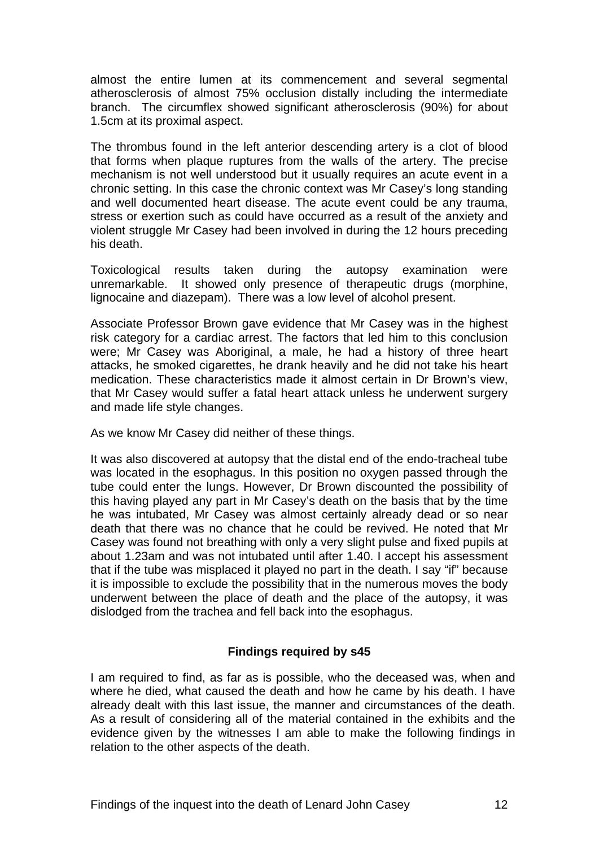almost the entire lumen at its commencement and several segmental atherosclerosis of almost 75% occlusion distally including the intermediate branch. The circumflex showed significant atherosclerosis (90%) for about 1.5cm at its proximal aspect.

The thrombus found in the left anterior descending artery is a clot of blood that forms when plaque ruptures from the walls of the artery. The precise mechanism is not well understood but it usually requires an acute event in a chronic setting. In this case the chronic context was Mr Casey's long standing and well documented heart disease. The acute event could be any trauma, stress or exertion such as could have occurred as a result of the anxiety and violent struggle Mr Casey had been involved in during the 12 hours preceding his death.

Toxicological results taken during the autopsy examination were unremarkable. It showed only presence of therapeutic drugs (morphine, lignocaine and diazepam). There was a low level of alcohol present.

Associate Professor Brown gave evidence that Mr Casey was in the highest risk category for a cardiac arrest. The factors that led him to this conclusion were; Mr Casey was Aboriginal, a male, he had a history of three heart attacks, he smoked cigarettes, he drank heavily and he did not take his heart medication. These characteristics made it almost certain in Dr Brown's view, that Mr Casey would suffer a fatal heart attack unless he underwent surgery and made life style changes.

As we know Mr Casey did neither of these things.

It was also discovered at autopsy that the distal end of the endo-tracheal tube was located in the esophagus. In this position no oxygen passed through the tube could enter the lungs. However, Dr Brown discounted the possibility of this having played any part in Mr Casey's death on the basis that by the time he was intubated, Mr Casey was almost certainly already dead or so near death that there was no chance that he could be revived. He noted that Mr Casey was found not breathing with only a very slight pulse and fixed pupils at about 1.23am and was not intubated until after 1.40. I accept his assessment that if the tube was misplaced it played no part in the death. I say "if" because it is impossible to exclude the possibility that in the numerous moves the body underwent between the place of death and the place of the autopsy, it was dislodged from the trachea and fell back into the esophagus.

#### **Findings required by s45**

I am required to find, as far as is possible, who the deceased was, when and where he died, what caused the death and how he came by his death. I have already dealt with this last issue, the manner and circumstances of the death. As a result of considering all of the material contained in the exhibits and the evidence given by the witnesses I am able to make the following findings in relation to the other aspects of the death.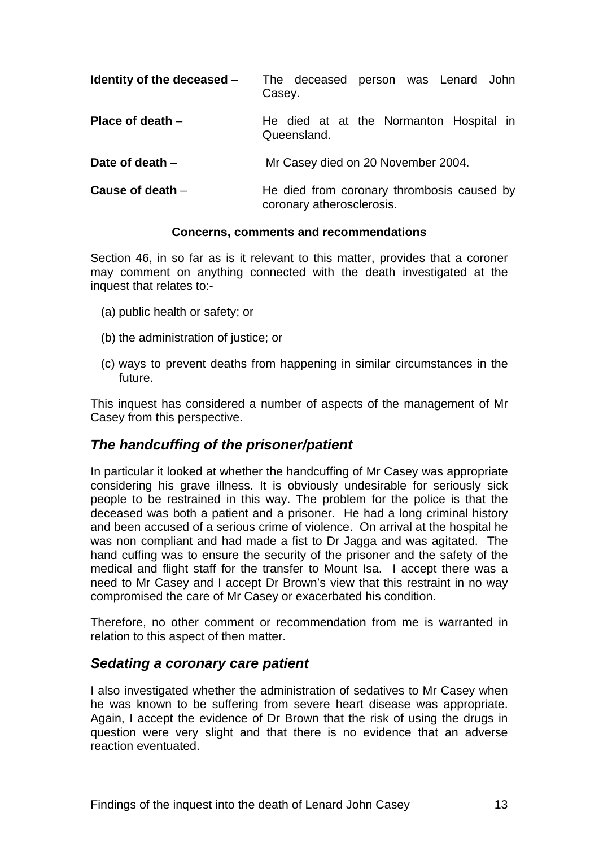| Identity of the deceased $-$ | The deceased person was Lenard John<br>Casey.                           |
|------------------------------|-------------------------------------------------------------------------|
| Place of death $-$           | He died at at the Normanton Hospital in<br>Queensland.                  |
| Date of death $-$            | Mr Casey died on 20 November 2004.                                      |
| Cause of death $-$           | He died from coronary thrombosis caused by<br>coronary atherosclerosis. |

#### **Concerns, comments and recommendations**

Section 46, in so far as is it relevant to this matter, provides that a coroner may comment on anything connected with the death investigated at the inquest that relates to:-

- (a) public health or safety; or
- (b) the administration of justice; or
- (c) ways to prevent deaths from happening in similar circumstances in the future.

This inquest has considered a number of aspects of the management of Mr Casey from this perspective.

#### *The handcuffing of the prisoner/patient*

In particular it looked at whether the handcuffing of Mr Casey was appropriate considering his grave illness. It is obviously undesirable for seriously sick people to be restrained in this way. The problem for the police is that the deceased was both a patient and a prisoner. He had a long criminal history and been accused of a serious crime of violence. On arrival at the hospital he was non compliant and had made a fist to Dr Jagga and was agitated. The hand cuffing was to ensure the security of the prisoner and the safety of the medical and flight staff for the transfer to Mount Isa. I accept there was a need to Mr Casey and I accept Dr Brown's view that this restraint in no way compromised the care of Mr Casey or exacerbated his condition.

Therefore, no other comment or recommendation from me is warranted in relation to this aspect of then matter.

#### *Sedating a coronary care patient*

I also investigated whether the administration of sedatives to Mr Casey when he was known to be suffering from severe heart disease was appropriate. Again, I accept the evidence of Dr Brown that the risk of using the drugs in question were very slight and that there is no evidence that an adverse reaction eventuated.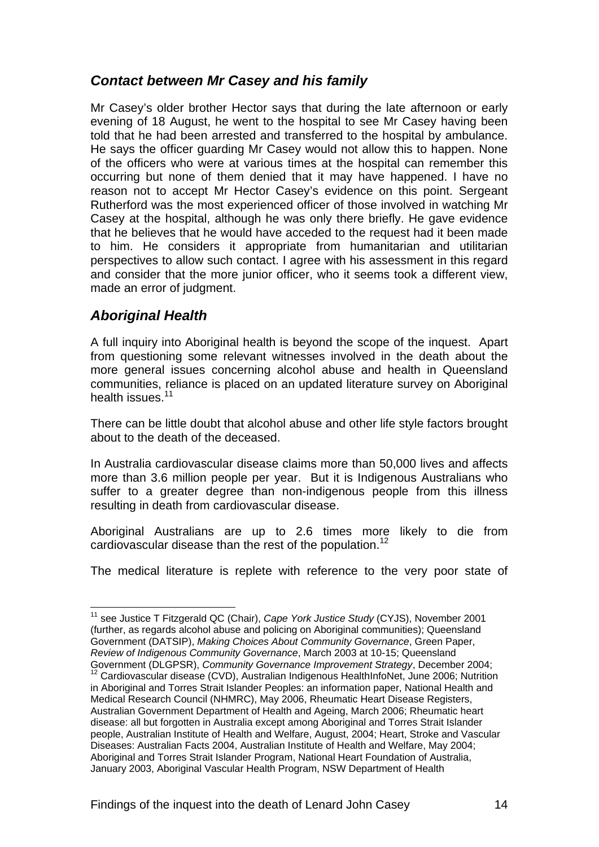## *Contact between Mr Casey and his family*

Mr Casey's older brother Hector says that during the late afternoon or early evening of 18 August, he went to the hospital to see Mr Casey having been told that he had been arrested and transferred to the hospital by ambulance. He says the officer guarding Mr Casey would not allow this to happen. None of the officers who were at various times at the hospital can remember this occurring but none of them denied that it may have happened. I have no reason not to accept Mr Hector Casey's evidence on this point. Sergeant Rutherford was the most experienced officer of those involved in watching Mr Casey at the hospital, although he was only there briefly. He gave evidence that he believes that he would have acceded to the request had it been made to him. He considers it appropriate from humanitarian and utilitarian perspectives to allow such contact. I agree with his assessment in this regard and consider that the more junior officer, who it seems took a different view, made an error of judgment.

## *Aboriginal Health*

1

A full inquiry into Aboriginal health is beyond the scope of the inquest. Apart from questioning some relevant witnesses involved in the death about the more general issues concerning alcohol abuse and health in Queensland communities, reliance is placed on an updated literature survey on Aboriginal health issues.<sup>11</sup>

There can be little doubt that alcohol abuse and other life style factors brought about to the death of the deceased.

In Australia cardiovascular disease claims more than 50,000 lives and affects more than 3.6 million people per year. But it is Indigenous Australians who suffer to a greater degree than non-indigenous people from this illness resulting in death from cardiovascular disease.

Aboriginal Australians are up to 2.6 times more likely to die from cardiovascular disease than the rest of the population.<sup>12</sup>

The medical literature is replete with reference to the very poor state of

<sup>11</sup> see Justice T Fitzgerald QC (Chair), *Cape York Justice Study* (CYJS), November 2001 (further, as regards alcohol abuse and policing on Aboriginal communities); Queensland Government (DATSIP), *Making Choices About Community Governance*, Green Paper, *Review of Indigenous Community Governance*, March 2003 at 10-15; Queensland Government (DLGPSR), *Community Governance Improvement Strategy*, December 2004;

<sup>&</sup>lt;sup>12</sup> Cardiovascular disease (CVD), Australian Indigenous HealthInfoNet, June 2006; Nutrition in Aboriginal and Torres Strait Islander Peoples: an information paper, National Health and Medical Research Council (NHMRC), May 2006, Rheumatic Heart Disease Registers, Australian Government Department of Health and Ageing, March 2006; Rheumatic heart disease: all but forgotten in Australia except among Aboriginal and Torres Strait Islander people, Australian Institute of Health and Welfare, August, 2004; Heart, Stroke and Vascular Diseases: Australian Facts 2004, Australian Institute of Health and Welfare, May 2004; Aboriginal and Torres Strait Islander Program, National Heart Foundation of Australia, January 2003, Aboriginal Vascular Health Program, NSW Department of Health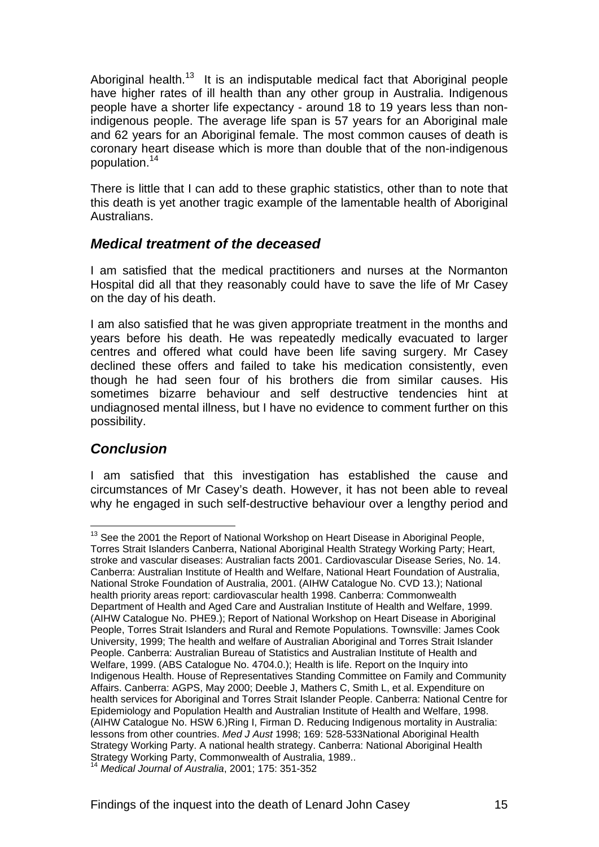Aboriginal health.<sup>13</sup> It is an indisputable medical fact that Aboriginal people have higher rates of ill health than any other group in Australia. Indigenous people have a shorter life expectancy - around 18 to 19 years less than nonindigenous people. The average life span is 57 years for an Aboriginal male and 62 years for an Aboriginal female. The most common causes of death is coronary heart disease which is more than double that of the non-indigenous population.<sup>14</sup>

There is little that I can add to these graphic statistics, other than to note that this death is yet another tragic example of the lamentable health of Aboriginal **Australians** 

#### *Medical treatment of the deceased*

I am satisfied that the medical practitioners and nurses at the Normanton Hospital did all that they reasonably could have to save the life of Mr Casey on the day of his death.

I am also satisfied that he was given appropriate treatment in the months and years before his death. He was repeatedly medically evacuated to larger centres and offered what could have been life saving surgery. Mr Casey declined these offers and failed to take his medication consistently, even though he had seen four of his brothers die from similar causes. His sometimes bizarre behaviour and self destructive tendencies hint at undiagnosed mental illness, but I have no evidence to comment further on this possibility.

## *Conclusion*

1

I am satisfied that this investigation has established the cause and circumstances of Mr Casey's death. However, it has not been able to reveal why he engaged in such self-destructive behaviour over a lengthy period and

 $13$  See the 2001 the Report of National Workshop on Heart Disease in Aboriginal People, Torres Strait Islanders Canberra, National Aboriginal Health Strategy Working Party; Heart, stroke and vascular diseases: Australian facts 2001. Cardiovascular Disease Series, No. 14. Canberra: Australian Institute of Health and Welfare, National Heart Foundation of Australia, National Stroke Foundation of Australia, 2001. (AIHW Catalogue No. CVD 13.); National health priority areas report: cardiovascular health 1998. Canberra: Commonwealth Department of Health and Aged Care and Australian Institute of Health and Welfare, 1999. (AIHW Catalogue No. PHE9.); Report of National Workshop on Heart Disease in Aboriginal People, Torres Strait Islanders and Rural and Remote Populations. Townsville: James Cook University, 1999; The health and welfare of Australian Aboriginal and Torres Strait Islander People. Canberra: Australian Bureau of Statistics and Australian Institute of Health and Welfare, 1999. (ABS Catalogue No. 4704.0.); Health is life. Report on the Inquiry into Indigenous Health. House of Representatives Standing Committee on Family and Community Affairs. Canberra: AGPS, May 2000; Deeble J, Mathers C, Smith L, et al. Expenditure on health services for Aboriginal and Torres Strait Islander People. Canberra: National Centre for Epidemiology and Population Health and Australian Institute of Health and Welfare, 1998. (AIHW Catalogue No. HSW 6.)Ring I, Firman D. Reducing Indigenous mortality in Australia: lessons from other countries. *Med J Aust* 1998; 169: 528-533National Aboriginal Health Strategy Working Party. A national health strategy. Canberra: National Aboriginal Health Strategy Working Party, Commonwealth of Australia, 1989.. <sup>14</sup> *Medical Journal of Australia*, 2001; 175: 351-352